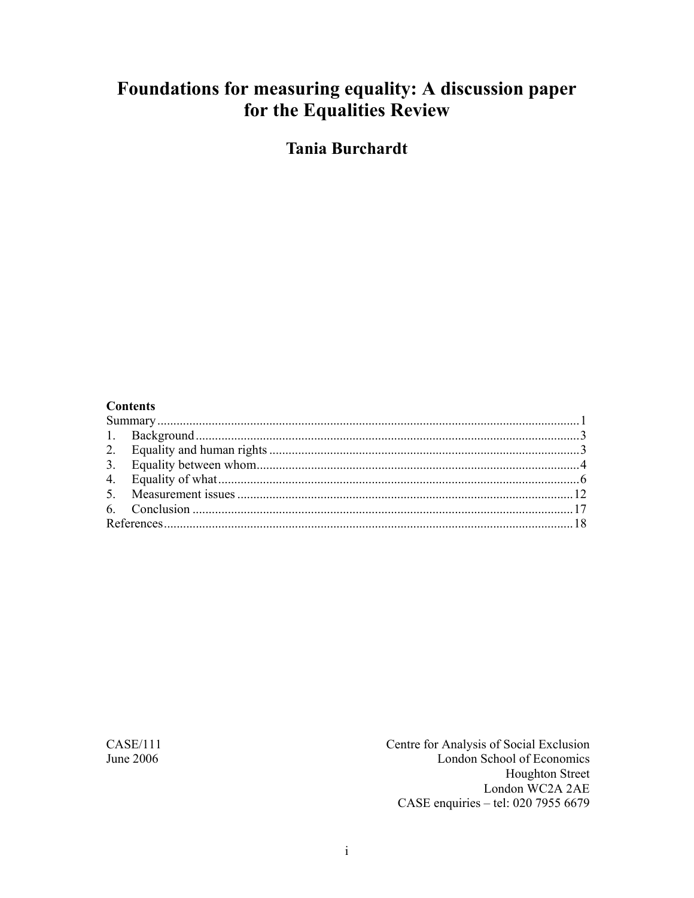# Foundations for measuring equality: A discussion paper for the Equalities Review

**Tania Burchardt** 

#### **Contents**

 $CASE/111$ June 2006

Centre for Analysis of Social Exclusion London School of Economics **Houghton Street** London WC2A 2AE CASE enquiries - tel: 020 7955 6679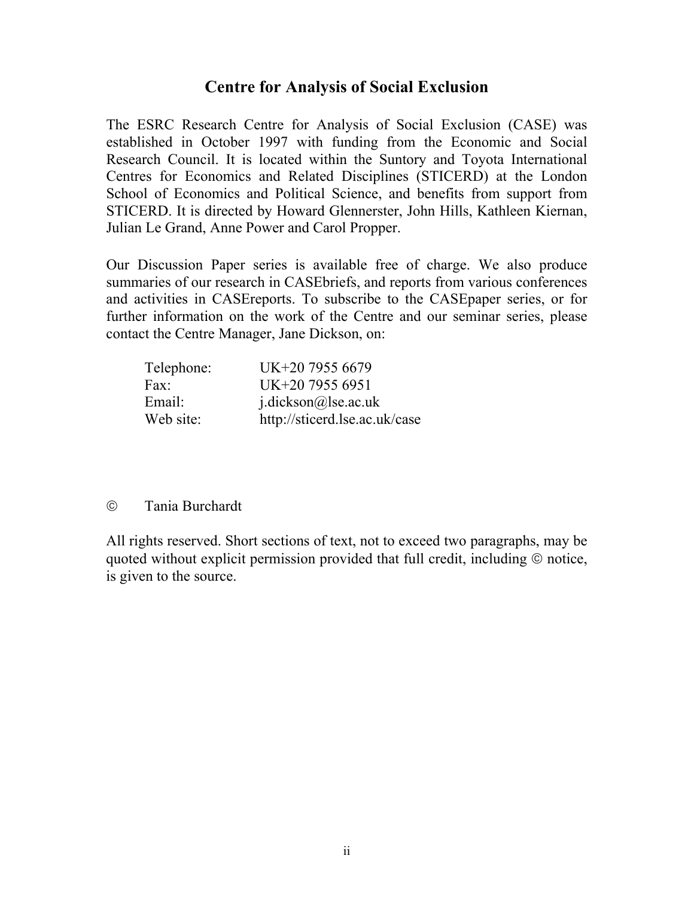#### **Centre for Analysis of Social Exclusion**

The ESRC Research Centre for Analysis of Social Exclusion (CASE) was established in October 1997 with funding from the Economic and Social Research Council. It is located within the Suntory and Toyota International Centres for Economics and Related Disciplines (STICERD) at the London School of Economics and Political Science, and benefits from support from STICERD. It is directed by Howard Glennerster, John Hills, Kathleen Kiernan, Julian Le Grand, Anne Power and Carol Propper.

Our Discussion Paper series is available free of charge. We also produce summaries of our research in CASEbriefs, and reports from various conferences and activities in CASEreports. To subscribe to the CASEpaper series, or for further information on the work of the Centre and our seminar series, please contact the Centre Manager, Jane Dickson, on:

| Telephone: | UK+20 7955 6679               |
|------------|-------------------------------|
| Fax:       | UK+20 7955 6951               |
| Email:     | $i$ .dickson@lse.ac.uk        |
| Web site:  | http://sticerd.lse.ac.uk/case |

#### © Tania Burchardt

All rights reserved. Short sections of text, not to exceed two paragraphs, may be quoted without explicit permission provided that full credit, including © notice, is given to the source.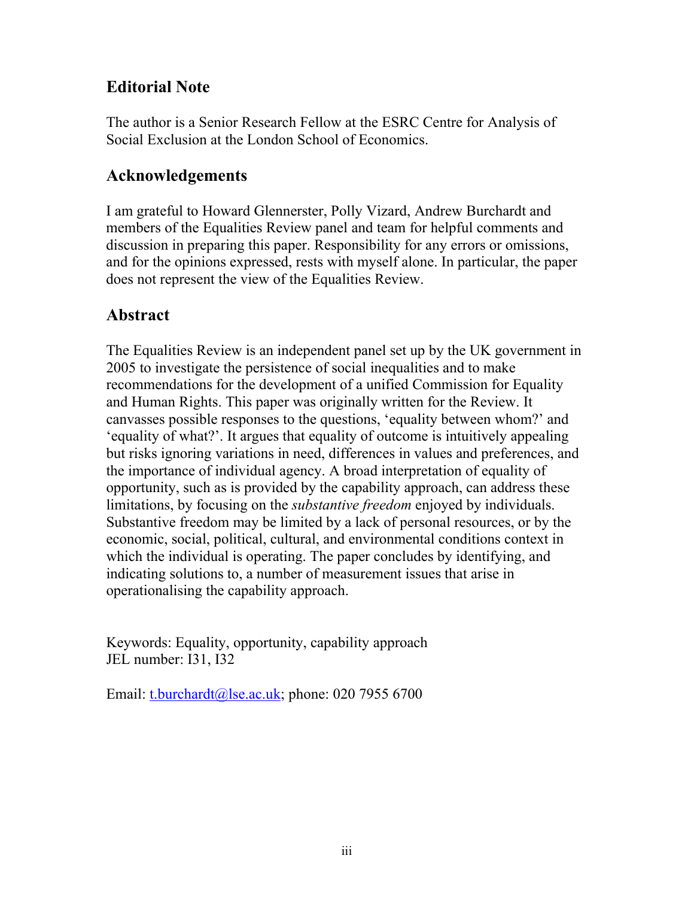## **Editorial Note**

The author is a Senior Research Fellow at the ESRC Centre for Analysis of Social Exclusion at the London School of Economics.

### **Acknowledgements**

I am grateful to Howard Glennerster, Polly Vizard, Andrew Burchardt and members of the Equalities Review panel and team for helpful comments and discussion in preparing this paper. Responsibility for any errors or omissions, and for the opinions expressed, rests with myself alone. In particular, the paper does not represent the view of the Equalities Review.

### **Abstract**

The Equalities Review is an independent panel set up by the UK government in 2005 to investigate the persistence of social inequalities and to make recommendations for the development of a unified Commission for Equality and Human Rights. This paper was originally written for the Review. It canvasses possible responses to the questions, 'equality between whom?' and 'equality of what?'. It argues that equality of outcome is intuitively appealing but risks ignoring variations in need, differences in values and preferences, and the importance of individual agency. A broad interpretation of equality of opportunity, such as is provided by the capability approach, can address these limitations, by focusing on the *substantive freedom* enjoyed by individuals. Substantive freedom may be limited by a lack of personal resources, or by the economic, social, political, cultural, and environmental conditions context in which the individual is operating. The paper concludes by identifying, and indicating solutions to, a number of measurement issues that arise in operationalising the capability approach.

Keywords: Equality, opportunity, capability approach JEL number: I31, I32

Email: t.burchardt@lse.ac.uk; phone: 020 7955 6700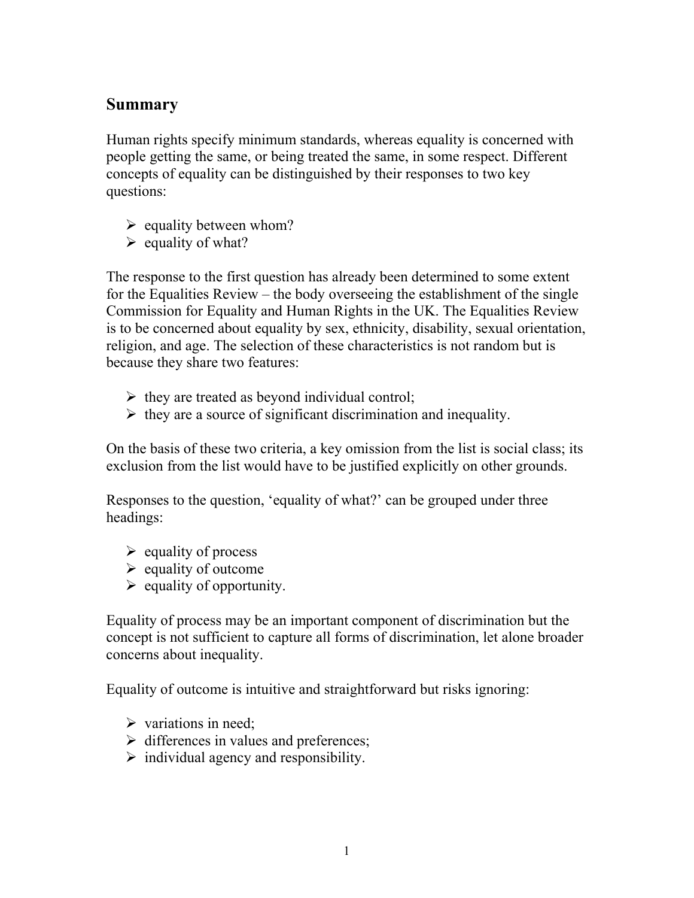#### **Summary**

Human rights specify minimum standards, whereas equality is concerned with people getting the same, or being treated the same, in some respect. Different concepts of equality can be distinguished by their responses to two key questions:

- $\triangleright$  equality between whom?
- $\triangleright$  equality of what?

The response to the first question has already been determined to some extent for the Equalities Review – the body overseeing the establishment of the single Commission for Equality and Human Rights in the UK. The Equalities Review is to be concerned about equality by sex, ethnicity, disability, sexual orientation, religion, and age. The selection of these characteristics is not random but is because they share two features:

- $\triangleright$  they are treated as beyond individual control;
- $\triangleright$  they are a source of significant discrimination and inequality.

On the basis of these two criteria, a key omission from the list is social class; its exclusion from the list would have to be justified explicitly on other grounds.

Responses to the question, 'equality of what?' can be grouped under three headings:

- $\triangleright$  equality of process
- $\triangleright$  equality of outcome
- $\triangleright$  equality of opportunity.

Equality of process may be an important component of discrimination but the concept is not sufficient to capture all forms of discrimination, let alone broader concerns about inequality.

Equality of outcome is intuitive and straightforward but risks ignoring:

- $\triangleright$  variations in need;
- $\triangleright$  differences in values and preferences;
- $\triangleright$  individual agency and responsibility.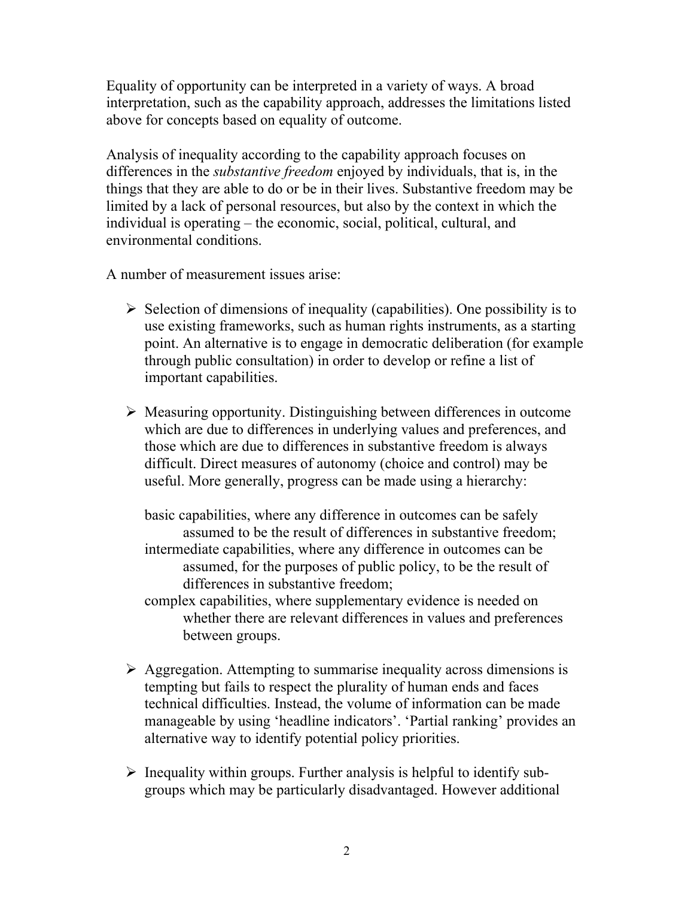Equality of opportunity can be interpreted in a variety of ways. A broad interpretation, such as the capability approach, addresses the limitations listed above for concepts based on equality of outcome.

Analysis of inequality according to the capability approach focuses on differences in the *substantive freedom* enjoyed by individuals, that is, in the things that they are able to do or be in their lives. Substantive freedom may be limited by a lack of personal resources, but also by the context in which the individual is operating – the economic, social, political, cultural, and environmental conditions.

A number of measurement issues arise:

- $\triangleright$  Selection of dimensions of inequality (capabilities). One possibility is to use existing frameworks, such as human rights instruments, as a starting point. An alternative is to engage in democratic deliberation (for example through public consultation) in order to develop or refine a list of important capabilities.
- $\triangleright$  Measuring opportunity. Distinguishing between differences in outcome which are due to differences in underlying values and preferences, and those which are due to differences in substantive freedom is always difficult. Direct measures of autonomy (choice and control) may be useful. More generally, progress can be made using a hierarchy:

basic capabilities, where any difference in outcomes can be safely assumed to be the result of differences in substantive freedom; intermediate capabilities, where any difference in outcomes can be assumed, for the purposes of public policy, to be the result of differences in substantive freedom;

complex capabilities, where supplementary evidence is needed on whether there are relevant differences in values and preferences between groups.

- $\triangleright$  Aggregation. Attempting to summarise inequality across dimensions is tempting but fails to respect the plurality of human ends and faces technical difficulties. Instead, the volume of information can be made manageable by using 'headline indicators'. 'Partial ranking' provides an alternative way to identify potential policy priorities.
- $\triangleright$  Inequality within groups. Further analysis is helpful to identify subgroups which may be particularly disadvantaged. However additional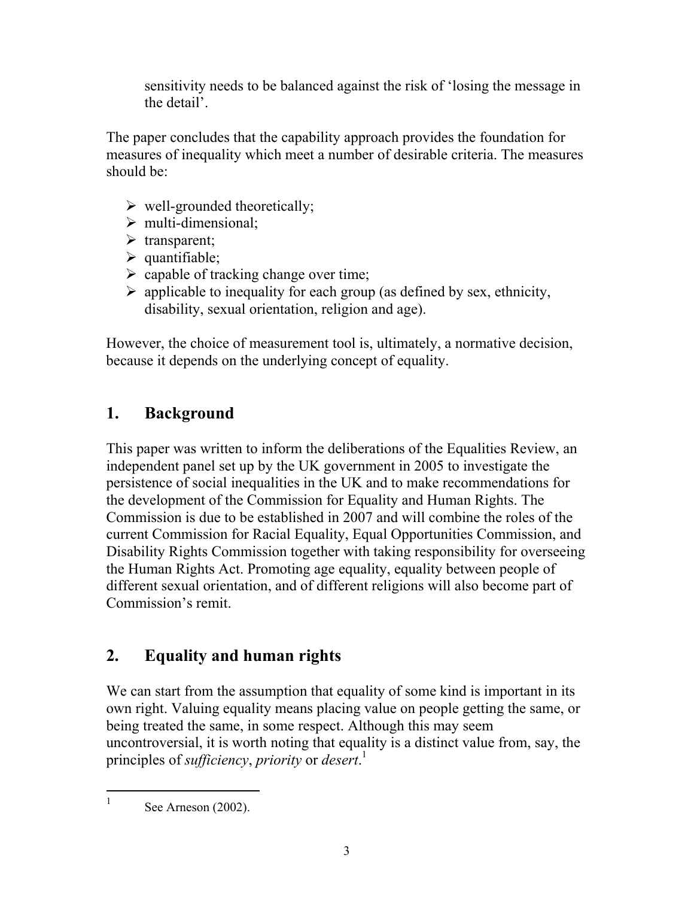sensitivity needs to be balanced against the risk of 'losing the message in the detail'.

The paper concludes that the capability approach provides the foundation for measures of inequality which meet a number of desirable criteria. The measures should be:

- $\triangleright$  well-grounded theoretically;
- $\triangleright$  multi-dimensional;
- $\triangleright$  transparent;
- $\triangleright$  quantifiable;
- $\triangleright$  capable of tracking change over time;
- $\triangleright$  applicable to inequality for each group (as defined by sex, ethnicity, disability, sexual orientation, religion and age).

However, the choice of measurement tool is, ultimately, a normative decision, because it depends on the underlying concept of equality.

# **1. Background**

This paper was written to inform the deliberations of the Equalities Review, an independent panel set up by the UK government in 2005 to investigate the persistence of social inequalities in the UK and to make recommendations for the development of the Commission for Equality and Human Rights. The Commission is due to be established in 2007 and will combine the roles of the current Commission for Racial Equality, Equal Opportunities Commission, and Disability Rights Commission together with taking responsibility for overseeing the Human Rights Act. Promoting age equality, equality between people of different sexual orientation, and of different religions will also become part of Commission's remit.

# **2. Equality and human rights**

We can start from the assumption that equality of some kind is important in its own right. Valuing equality means placing value on people getting the same, or being treated the same, in some respect. Although this may seem uncontroversial, it is worth noting that equality is a distinct value from, say, the principles of *sufficiency*, *priority* or *desert*. 1

-1

See Arneson (2002).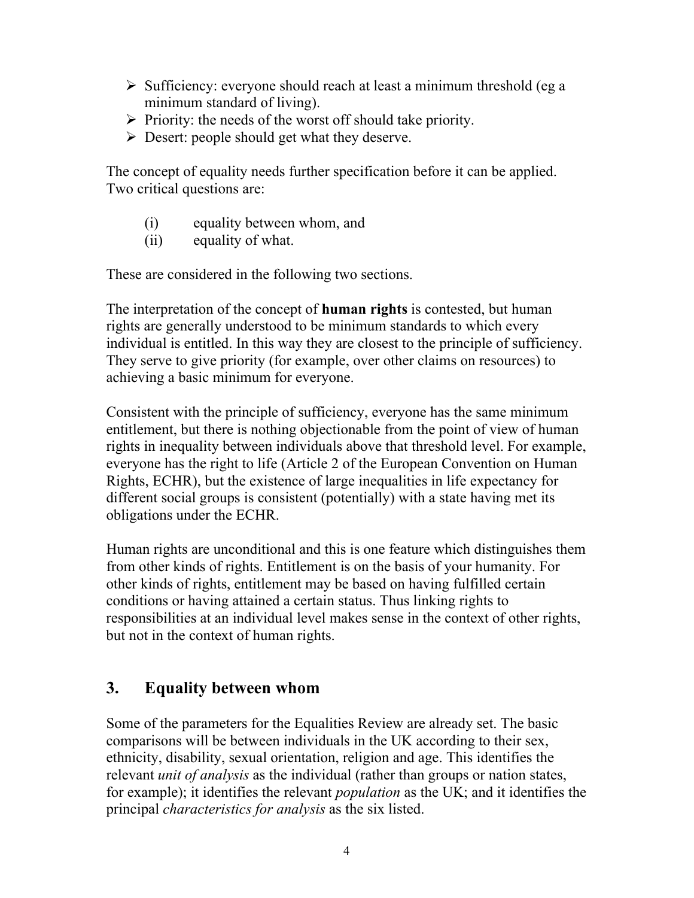- $\triangleright$  Sufficiency: everyone should reach at least a minimum threshold (eg a minimum standard of living).
- $\triangleright$  Priority: the needs of the worst off should take priority.
- $\triangleright$  Desert: people should get what they deserve.

The concept of equality needs further specification before it can be applied. Two critical questions are:

- (i) equality between whom, and
- (ii) equality of what.

These are considered in the following two sections.

The interpretation of the concept of **human rights** is contested, but human rights are generally understood to be minimum standards to which every individual is entitled. In this way they are closest to the principle of sufficiency. They serve to give priority (for example, over other claims on resources) to achieving a basic minimum for everyone.

Consistent with the principle of sufficiency, everyone has the same minimum entitlement, but there is nothing objectionable from the point of view of human rights in inequality between individuals above that threshold level. For example, everyone has the right to life (Article 2 of the European Convention on Human Rights, ECHR), but the existence of large inequalities in life expectancy for different social groups is consistent (potentially) with a state having met its obligations under the ECHR.

Human rights are unconditional and this is one feature which distinguishes them from other kinds of rights. Entitlement is on the basis of your humanity. For other kinds of rights, entitlement may be based on having fulfilled certain conditions or having attained a certain status. Thus linking rights to responsibilities at an individual level makes sense in the context of other rights, but not in the context of human rights.

# **3. Equality between whom**

Some of the parameters for the Equalities Review are already set. The basic comparisons will be between individuals in the UK according to their sex, ethnicity, disability, sexual orientation, religion and age. This identifies the relevant *unit of analysis* as the individual (rather than groups or nation states, for example); it identifies the relevant *population* as the UK; and it identifies the principal *characteristics for analysis* as the six listed.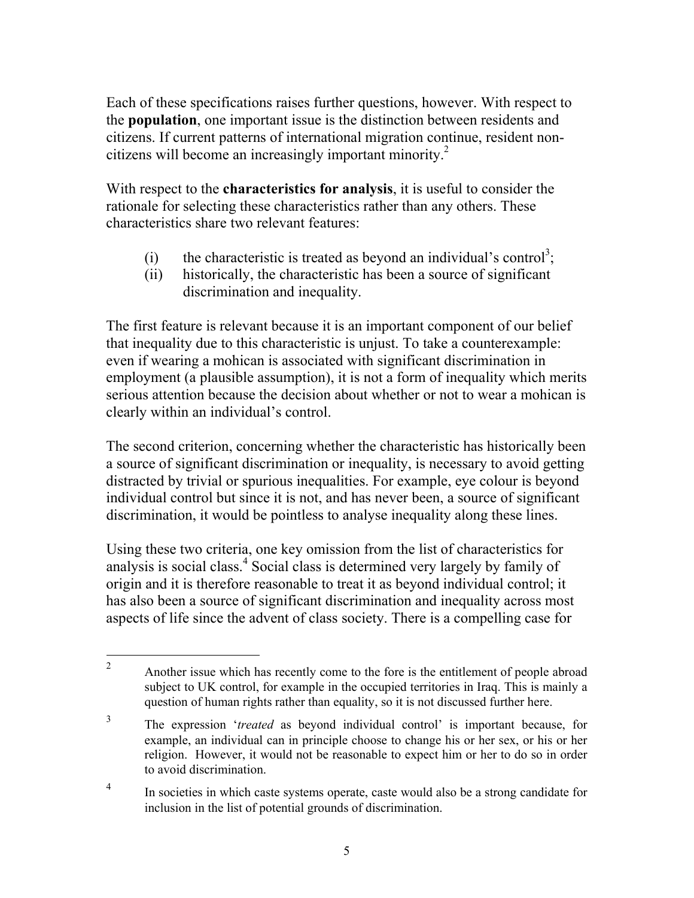Each of these specifications raises further questions, however. With respect to the **population**, one important issue is the distinction between residents and citizens. If current patterns of international migration continue, resident noncitizens will become an increasingly important minority.<sup>2</sup>

With respect to the **characteristics for analysis**, it is useful to consider the rationale for selecting these characteristics rather than any others. These characteristics share two relevant features:

- (i) the characteristic is treated as beyond an individual's control<sup>3</sup>;
- (ii) historically, the characteristic has been a source of significant discrimination and inequality.

The first feature is relevant because it is an important component of our belief that inequality due to this characteristic is unjust. To take a counterexample: even if wearing a mohican is associated with significant discrimination in employment (a plausible assumption), it is not a form of inequality which merits serious attention because the decision about whether or not to wear a mohican is clearly within an individual's control.

The second criterion, concerning whether the characteristic has historically been a source of significant discrimination or inequality, is necessary to avoid getting distracted by trivial or spurious inequalities. For example, eye colour is beyond individual control but since it is not, and has never been, a source of significant discrimination, it would be pointless to analyse inequality along these lines.

Using these two criteria, one key omission from the list of characteristics for analysis is social class.<sup>4</sup> Social class is determined very largely by family of origin and it is therefore reasonable to treat it as beyond individual control; it has also been a source of significant discrimination and inequality across most aspects of life since the advent of class society. There is a compelling case for

 $\overline{a}$ 

<sup>2</sup> Another issue which has recently come to the fore is the entitlement of people abroad subject to UK control, for example in the occupied territories in Iraq. This is mainly a question of human rights rather than equality, so it is not discussed further here.

<sup>3</sup> The expression '*treated* as beyond individual control' is important because, for example, an individual can in principle choose to change his or her sex, or his or her religion. However, it would not be reasonable to expect him or her to do so in order to avoid discrimination.

<sup>4</sup> In societies in which caste systems operate, caste would also be a strong candidate for inclusion in the list of potential grounds of discrimination.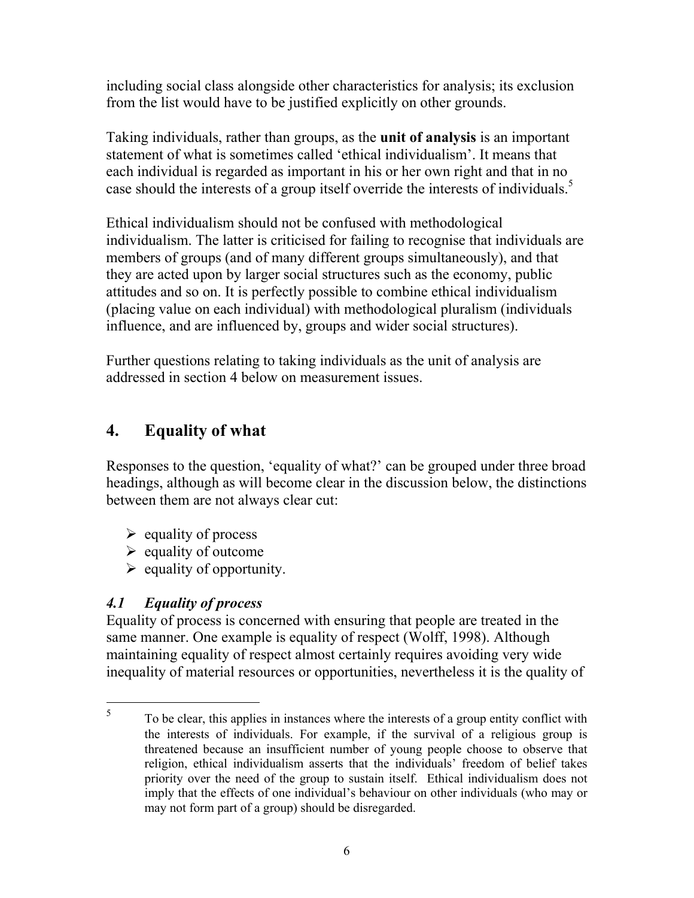including social class alongside other characteristics for analysis; its exclusion from the list would have to be justified explicitly on other grounds.

Taking individuals, rather than groups, as the **unit of analysis** is an important statement of what is sometimes called 'ethical individualism'. It means that each individual is regarded as important in his or her own right and that in no case should the interests of a group itself override the interests of individuals.<sup>5</sup>

Ethical individualism should not be confused with methodological individualism. The latter is criticised for failing to recognise that individuals are members of groups (and of many different groups simultaneously), and that they are acted upon by larger social structures such as the economy, public attitudes and so on. It is perfectly possible to combine ethical individualism (placing value on each individual) with methodological pluralism (individuals influence, and are influenced by, groups and wider social structures).

Further questions relating to taking individuals as the unit of analysis are addressed in section 4 below on measurement issues.

## **4. Equality of what**

Responses to the question, 'equality of what?' can be grouped under three broad headings, although as will become clear in the discussion below, the distinctions between them are not always clear cut:

- $\triangleright$  equality of process
- $\triangleright$  equality of outcome
- $\triangleright$  equality of opportunity.

#### *4.1 Equality of process*

 $\overline{a}$ 

Equality of process is concerned with ensuring that people are treated in the same manner. One example is equality of respect (Wolff, 1998). Although maintaining equality of respect almost certainly requires avoiding very wide inequality of material resources or opportunities, nevertheless it is the quality of

<sup>5</sup> To be clear, this applies in instances where the interests of a group entity conflict with the interests of individuals. For example, if the survival of a religious group is threatened because an insufficient number of young people choose to observe that religion, ethical individualism asserts that the individuals' freedom of belief takes priority over the need of the group to sustain itself. Ethical individualism does not imply that the effects of one individual's behaviour on other individuals (who may or may not form part of a group) should be disregarded.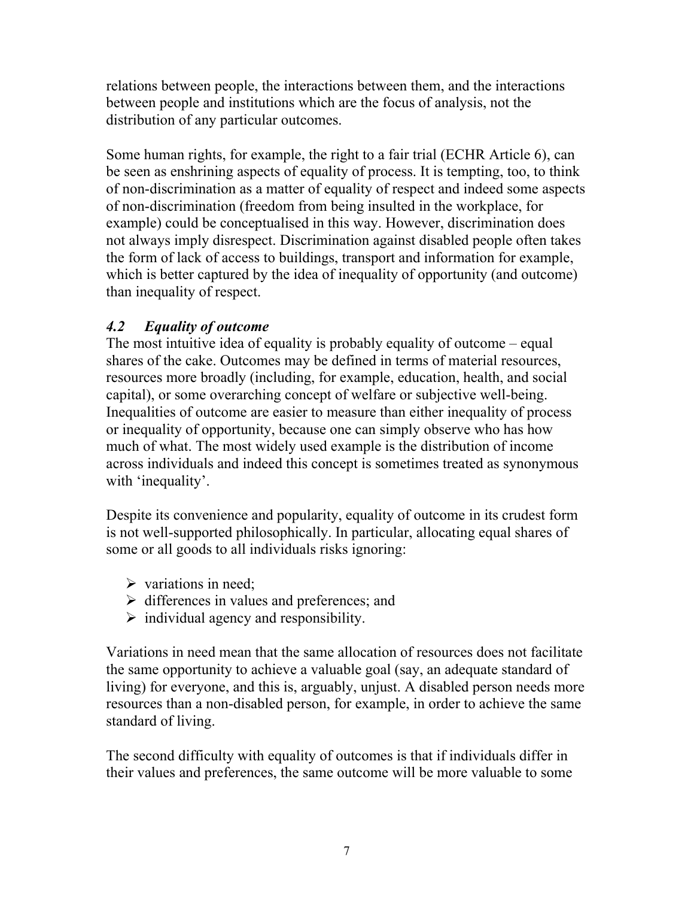relations between people, the interactions between them, and the interactions between people and institutions which are the focus of analysis, not the distribution of any particular outcomes.

Some human rights, for example, the right to a fair trial (ECHR Article 6), can be seen as enshrining aspects of equality of process. It is tempting, too, to think of non-discrimination as a matter of equality of respect and indeed some aspects of non-discrimination (freedom from being insulted in the workplace, for example) could be conceptualised in this way. However, discrimination does not always imply disrespect. Discrimination against disabled people often takes the form of lack of access to buildings, transport and information for example, which is better captured by the idea of inequality of opportunity (and outcome) than inequality of respect.

#### *4.2 Equality of outcome*

The most intuitive idea of equality is probably equality of outcome – equal shares of the cake. Outcomes may be defined in terms of material resources, resources more broadly (including, for example, education, health, and social capital), or some overarching concept of welfare or subjective well-being. Inequalities of outcome are easier to measure than either inequality of process or inequality of opportunity, because one can simply observe who has how much of what. The most widely used example is the distribution of income across individuals and indeed this concept is sometimes treated as synonymous with 'inequality'.

Despite its convenience and popularity, equality of outcome in its crudest form is not well-supported philosophically. In particular, allocating equal shares of some or all goods to all individuals risks ignoring:

- $\triangleright$  variations in need:
- $\triangleright$  differences in values and preferences; and
- $\triangleright$  individual agency and responsibility.

Variations in need mean that the same allocation of resources does not facilitate the same opportunity to achieve a valuable goal (say, an adequate standard of living) for everyone, and this is, arguably, unjust. A disabled person needs more resources than a non-disabled person, for example, in order to achieve the same standard of living.

The second difficulty with equality of outcomes is that if individuals differ in their values and preferences, the same outcome will be more valuable to some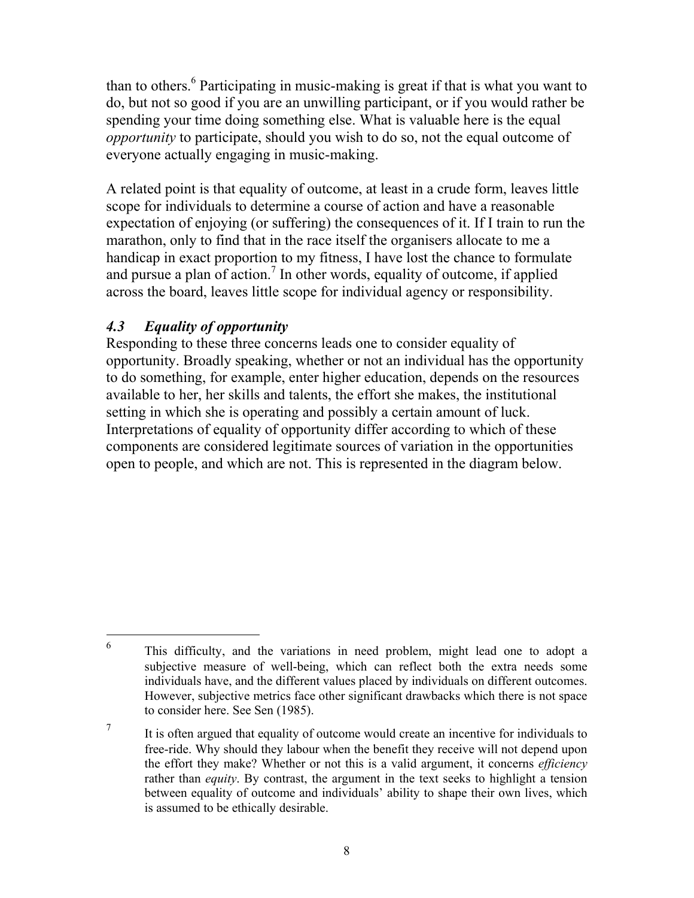than to others.<sup>6</sup> Participating in music-making is great if that is what you want to do, but not so good if you are an unwilling participant, or if you would rather be spending your time doing something else. What is valuable here is the equal *opportunity* to participate, should you wish to do so, not the equal outcome of everyone actually engaging in music-making.

A related point is that equality of outcome, at least in a crude form, leaves little scope for individuals to determine a course of action and have a reasonable expectation of enjoying (or suffering) the consequences of it. If I train to run the marathon, only to find that in the race itself the organisers allocate to me a handicap in exact proportion to my fitness, I have lost the chance to formulate and pursue a plan of action.<sup>7</sup> In other words, equality of outcome, if applied across the board, leaves little scope for individual agency or responsibility.

#### *4.3 Equality of opportunity*

 $\overline{a}$ 

Responding to these three concerns leads one to consider equality of opportunity. Broadly speaking, whether or not an individual has the opportunity to do something, for example, enter higher education, depends on the resources available to her, her skills and talents, the effort she makes, the institutional setting in which she is operating and possibly a certain amount of luck. Interpretations of equality of opportunity differ according to which of these components are considered legitimate sources of variation in the opportunities open to people, and which are not. This is represented in the diagram below.

<sup>6</sup> This difficulty, and the variations in need problem, might lead one to adopt a subjective measure of well-being, which can reflect both the extra needs some individuals have, and the different values placed by individuals on different outcomes. However, subjective metrics face other significant drawbacks which there is not space to consider here. See Sen (1985).

<sup>7</sup> It is often argued that equality of outcome would create an incentive for individuals to free-ride. Why should they labour when the benefit they receive will not depend upon the effort they make? Whether or not this is a valid argument, it concerns *efficiency* rather than *equity*. By contrast, the argument in the text seeks to highlight a tension between equality of outcome and individuals' ability to shape their own lives, which is assumed to be ethically desirable.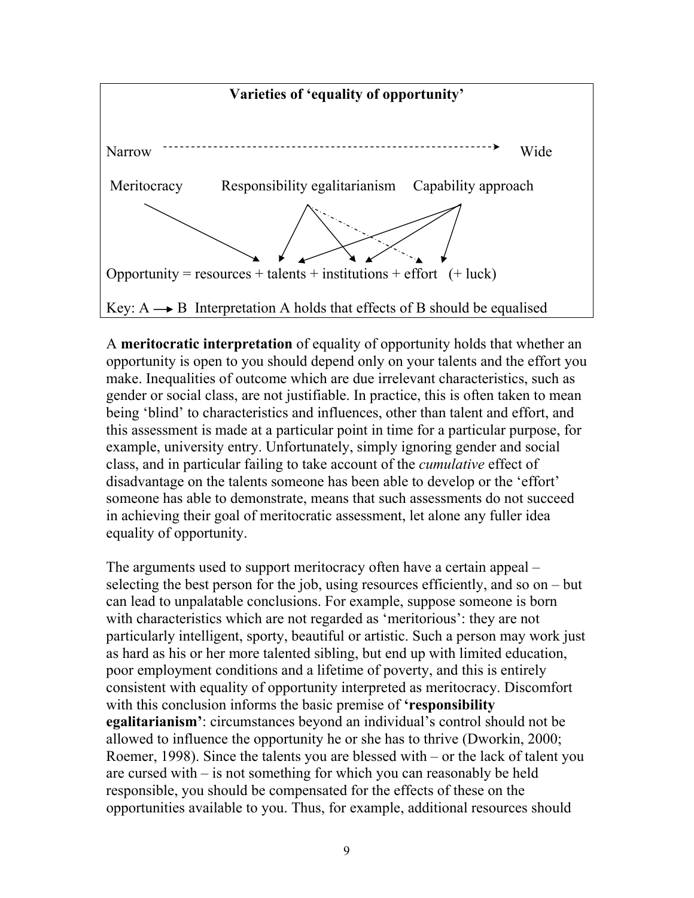

A **meritocratic interpretation** of equality of opportunity holds that whether an opportunity is open to you should depend only on your talents and the effort you make. Inequalities of outcome which are due irrelevant characteristics, such as gender or social class, are not justifiable. In practice, this is often taken to mean being 'blind' to characteristics and influences, other than talent and effort, and this assessment is made at a particular point in time for a particular purpose, for example, university entry. Unfortunately, simply ignoring gender and social class, and in particular failing to take account of the *cumulative* effect of disadvantage on the talents someone has been able to develop or the 'effort' someone has able to demonstrate, means that such assessments do not succeed in achieving their goal of meritocratic assessment, let alone any fuller idea equality of opportunity.

The arguments used to support meritocracy often have a certain appeal – selecting the best person for the job, using resources efficiently, and so on – but can lead to unpalatable conclusions. For example, suppose someone is born with characteristics which are not regarded as 'meritorious': they are not particularly intelligent, sporty, beautiful or artistic. Such a person may work just as hard as his or her more talented sibling, but end up with limited education, poor employment conditions and a lifetime of poverty, and this is entirely consistent with equality of opportunity interpreted as meritocracy. Discomfort with this conclusion informs the basic premise of **'responsibility egalitarianism'**: circumstances beyond an individual's control should not be allowed to influence the opportunity he or she has to thrive (Dworkin, 2000; Roemer, 1998). Since the talents you are blessed with – or the lack of talent you are cursed with – is not something for which you can reasonably be held responsible, you should be compensated for the effects of these on the opportunities available to you. Thus, for example, additional resources should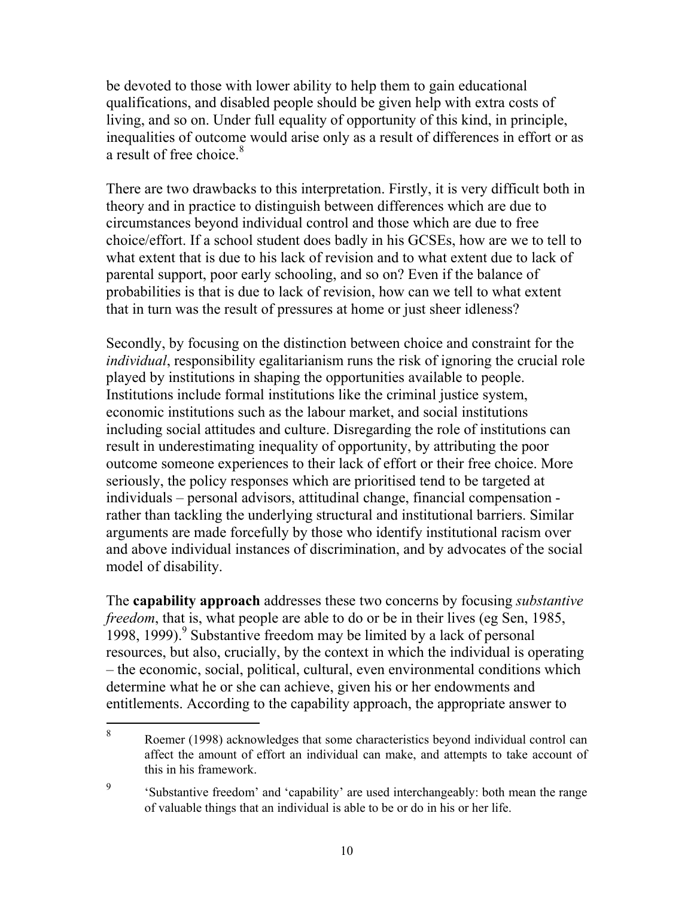be devoted to those with lower ability to help them to gain educational qualifications, and disabled people should be given help with extra costs of living, and so on. Under full equality of opportunity of this kind, in principle, inequalities of outcome would arise only as a result of differences in effort or as a result of free choice.<sup>8</sup>

There are two drawbacks to this interpretation. Firstly, it is very difficult both in theory and in practice to distinguish between differences which are due to circumstances beyond individual control and those which are due to free choice/effort. If a school student does badly in his GCSEs, how are we to tell to what extent that is due to his lack of revision and to what extent due to lack of parental support, poor early schooling, and so on? Even if the balance of probabilities is that is due to lack of revision, how can we tell to what extent that in turn was the result of pressures at home or just sheer idleness?

Secondly, by focusing on the distinction between choice and constraint for the *individual*, responsibility egalitarianism runs the risk of ignoring the crucial role played by institutions in shaping the opportunities available to people. Institutions include formal institutions like the criminal justice system, economic institutions such as the labour market, and social institutions including social attitudes and culture. Disregarding the role of institutions can result in underestimating inequality of opportunity, by attributing the poor outcome someone experiences to their lack of effort or their free choice. More seriously, the policy responses which are prioritised tend to be targeted at individuals – personal advisors, attitudinal change, financial compensation rather than tackling the underlying structural and institutional barriers. Similar arguments are made forcefully by those who identify institutional racism over and above individual instances of discrimination, and by advocates of the social model of disability.

The **capability approach** addresses these two concerns by focusing *substantive freedom*, that is, what people are able to do or be in their lives (eg Sen, 1985, 1998, 1999).<sup>9</sup> Substantive freedom may be limited by a lack of personal resources, but also, crucially, by the context in which the individual is operating – the economic, social, political, cultural, even environmental conditions which determine what he or she can achieve, given his or her endowments and entitlements. According to the capability approach, the appropriate answer to

 $\overline{a}$ 

<sup>8</sup> Roemer (1998) acknowledges that some characteristics beyond individual control can affect the amount of effort an individual can make, and attempts to take account of this in his framework.

<sup>9</sup> 'Substantive freedom' and 'capability' are used interchangeably: both mean the range of valuable things that an individual is able to be or do in his or her life.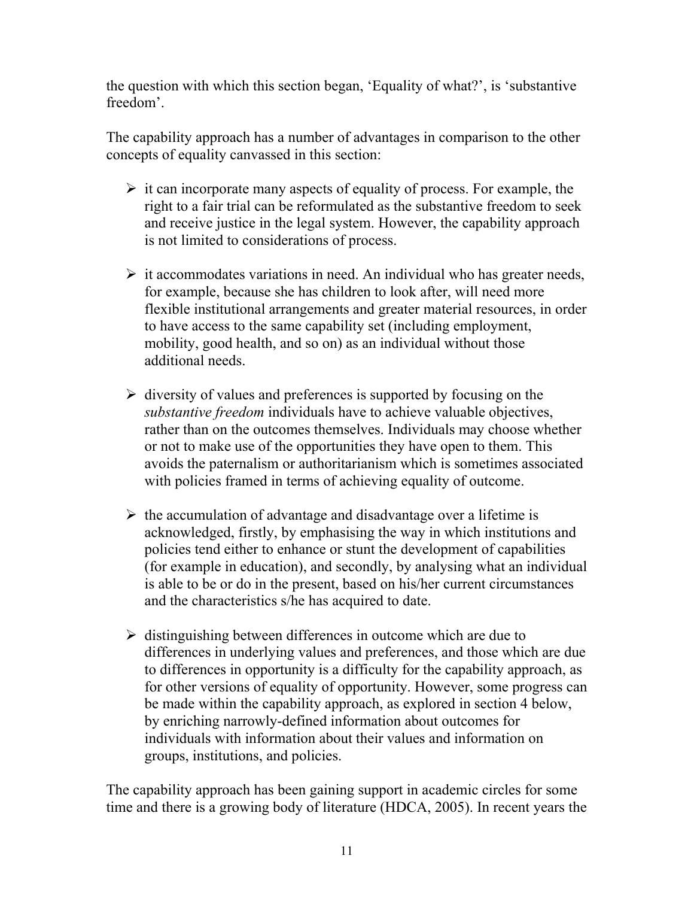the question with which this section began, 'Equality of what?', is 'substantive freedom'.

The capability approach has a number of advantages in comparison to the other concepts of equality canvassed in this section:

- $\triangleright$  it can incorporate many aspects of equality of process. For example, the right to a fair trial can be reformulated as the substantive freedom to seek and receive justice in the legal system. However, the capability approach is not limited to considerations of process.
- $\triangleright$  it accommodates variations in need. An individual who has greater needs, for example, because she has children to look after, will need more flexible institutional arrangements and greater material resources, in order to have access to the same capability set (including employment, mobility, good health, and so on) as an individual without those additional needs.
- $\triangleright$  diversity of values and preferences is supported by focusing on the *substantive freedom* individuals have to achieve valuable objectives, rather than on the outcomes themselves. Individuals may choose whether or not to make use of the opportunities they have open to them. This avoids the paternalism or authoritarianism which is sometimes associated with policies framed in terms of achieving equality of outcome.
- $\triangleright$  the accumulation of advantage and disadvantage over a lifetime is acknowledged, firstly, by emphasising the way in which institutions and policies tend either to enhance or stunt the development of capabilities (for example in education), and secondly, by analysing what an individual is able to be or do in the present, based on his/her current circumstances and the characteristics s/he has acquired to date.
- $\triangleright$  distinguishing between differences in outcome which are due to differences in underlying values and preferences, and those which are due to differences in opportunity is a difficulty for the capability approach, as for other versions of equality of opportunity. However, some progress can be made within the capability approach, as explored in section 4 below, by enriching narrowly-defined information about outcomes for individuals with information about their values and information on groups, institutions, and policies.

The capability approach has been gaining support in academic circles for some time and there is a growing body of literature (HDCA, 2005). In recent years the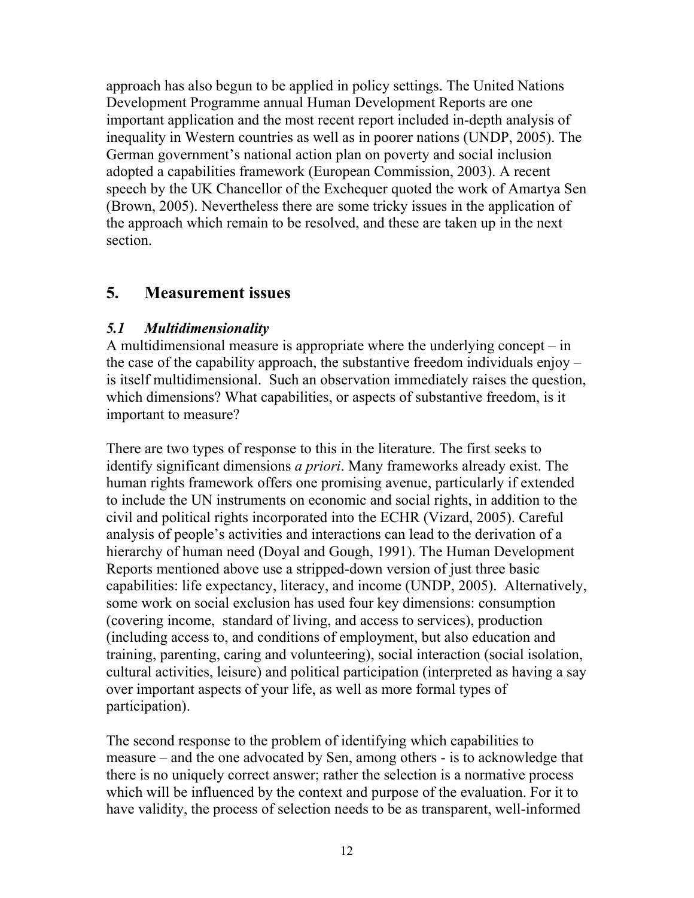approach has also begun to be applied in policy settings. The United Nations Development Programme annual Human Development Reports are one important application and the most recent report included in-depth analysis of inequality in Western countries as well as in poorer nations (UNDP, 2005). The German government's national action plan on poverty and social inclusion adopted a capabilities framework (European Commission, 2003). A recent speech by the UK Chancellor of the Exchequer quoted the work of Amartya Sen (Brown, 2005). Nevertheless there are some tricky issues in the application of the approach which remain to be resolved, and these are taken up in the next section.

### **5. Measurement issues**

#### *5.1 Multidimensionality*

A multidimensional measure is appropriate where the underlying concept – in the case of the capability approach, the substantive freedom individuals enjoy – is itself multidimensional. Such an observation immediately raises the question, which dimensions? What capabilities, or aspects of substantive freedom, is it important to measure?

There are two types of response to this in the literature. The first seeks to identify significant dimensions *a priori*. Many frameworks already exist. The human rights framework offers one promising avenue, particularly if extended to include the UN instruments on economic and social rights, in addition to the civil and political rights incorporated into the ECHR (Vizard, 2005). Careful analysis of people's activities and interactions can lead to the derivation of a hierarchy of human need (Doyal and Gough, 1991). The Human Development Reports mentioned above use a stripped-down version of just three basic capabilities: life expectancy, literacy, and income (UNDP, 2005). Alternatively, some work on social exclusion has used four key dimensions: consumption (covering income, standard of living, and access to services), production (including access to, and conditions of employment, but also education and training, parenting, caring and volunteering), social interaction (social isolation, cultural activities, leisure) and political participation (interpreted as having a say over important aspects of your life, as well as more formal types of participation).

The second response to the problem of identifying which capabilities to measure – and the one advocated by Sen, among others - is to acknowledge that there is no uniquely correct answer; rather the selection is a normative process which will be influenced by the context and purpose of the evaluation. For it to have validity, the process of selection needs to be as transparent, well-informed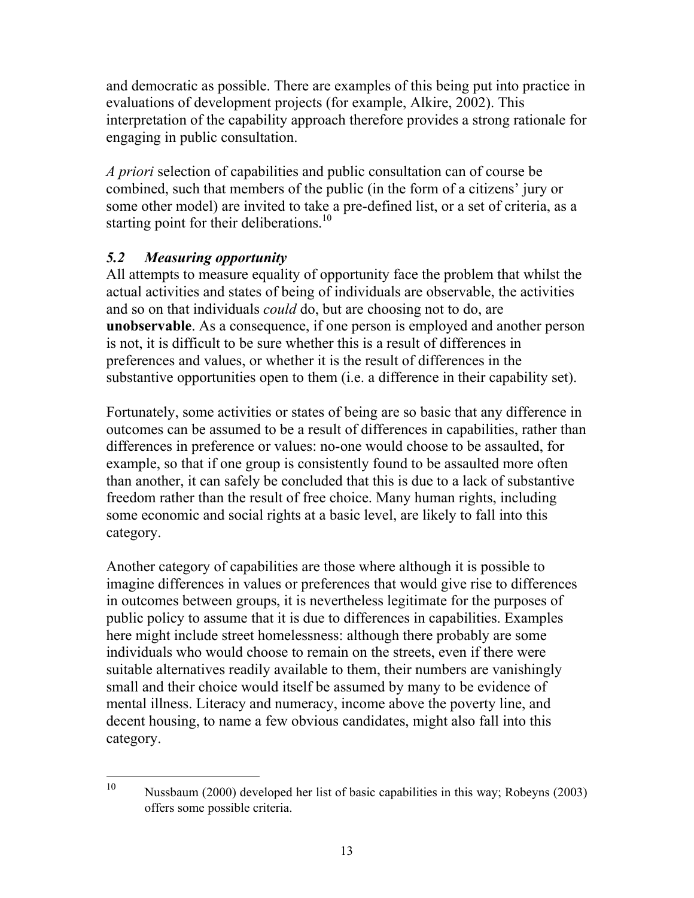and democratic as possible. There are examples of this being put into practice in evaluations of development projects (for example, Alkire, 2002). This interpretation of the capability approach therefore provides a strong rationale for engaging in public consultation.

*A priori* selection of capabilities and public consultation can of course be combined, such that members of the public (in the form of a citizens' jury or some other model) are invited to take a pre-defined list, or a set of criteria, as a starting point for their deliberations.<sup>10</sup>

#### *5.2 Measuring opportunity*

All attempts to measure equality of opportunity face the problem that whilst the actual activities and states of being of individuals are observable, the activities and so on that individuals *could* do, but are choosing not to do, are **unobservable**. As a consequence, if one person is employed and another person is not, it is difficult to be sure whether this is a result of differences in preferences and values, or whether it is the result of differences in the substantive opportunities open to them (i.e. a difference in their capability set).

Fortunately, some activities or states of being are so basic that any difference in outcomes can be assumed to be a result of differences in capabilities, rather than differences in preference or values: no-one would choose to be assaulted, for example, so that if one group is consistently found to be assaulted more often than another, it can safely be concluded that this is due to a lack of substantive freedom rather than the result of free choice. Many human rights, including some economic and social rights at a basic level, are likely to fall into this category.

Another category of capabilities are those where although it is possible to imagine differences in values or preferences that would give rise to differences in outcomes between groups, it is nevertheless legitimate for the purposes of public policy to assume that it is due to differences in capabilities. Examples here might include street homelessness: although there probably are some individuals who would choose to remain on the streets, even if there were suitable alternatives readily available to them, their numbers are vanishingly small and their choice would itself be assumed by many to be evidence of mental illness. Literacy and numeracy, income above the poverty line, and decent housing, to name a few obvious candidates, might also fall into this category.

 $10<sup>1</sup>$ Nussbaum (2000) developed her list of basic capabilities in this way; Robeyns (2003) offers some possible criteria.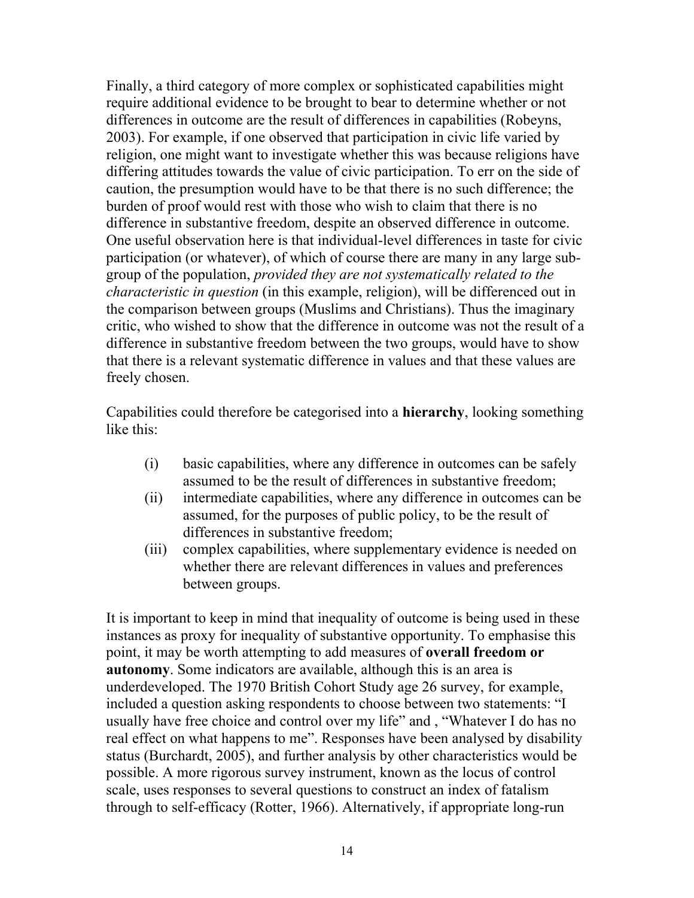Finally, a third category of more complex or sophisticated capabilities might require additional evidence to be brought to bear to determine whether or not differences in outcome are the result of differences in capabilities (Robeyns, 2003). For example, if one observed that participation in civic life varied by religion, one might want to investigate whether this was because religions have differing attitudes towards the value of civic participation. To err on the side of caution, the presumption would have to be that there is no such difference; the burden of proof would rest with those who wish to claim that there is no difference in substantive freedom, despite an observed difference in outcome. One useful observation here is that individual-level differences in taste for civic participation (or whatever), of which of course there are many in any large subgroup of the population, *provided they are not systematically related to the characteristic in question* (in this example, religion), will be differenced out in the comparison between groups (Muslims and Christians). Thus the imaginary critic, who wished to show that the difference in outcome was not the result of a difference in substantive freedom between the two groups, would have to show that there is a relevant systematic difference in values and that these values are freely chosen.

Capabilities could therefore be categorised into a **hierarchy**, looking something like this:

- (i) basic capabilities, where any difference in outcomes can be safely assumed to be the result of differences in substantive freedom;
- (ii) intermediate capabilities, where any difference in outcomes can be assumed, for the purposes of public policy, to be the result of differences in substantive freedom;
- (iii) complex capabilities, where supplementary evidence is needed on whether there are relevant differences in values and preferences between groups.

It is important to keep in mind that inequality of outcome is being used in these instances as proxy for inequality of substantive opportunity. To emphasise this point, it may be worth attempting to add measures of **overall freedom or autonomy**. Some indicators are available, although this is an area is underdeveloped. The 1970 British Cohort Study age 26 survey, for example, included a question asking respondents to choose between two statements: "I usually have free choice and control over my life" and , "Whatever I do has no real effect on what happens to me". Responses have been analysed by disability status (Burchardt, 2005), and further analysis by other characteristics would be possible. A more rigorous survey instrument, known as the locus of control scale, uses responses to several questions to construct an index of fatalism through to self-efficacy (Rotter, 1966). Alternatively, if appropriate long-run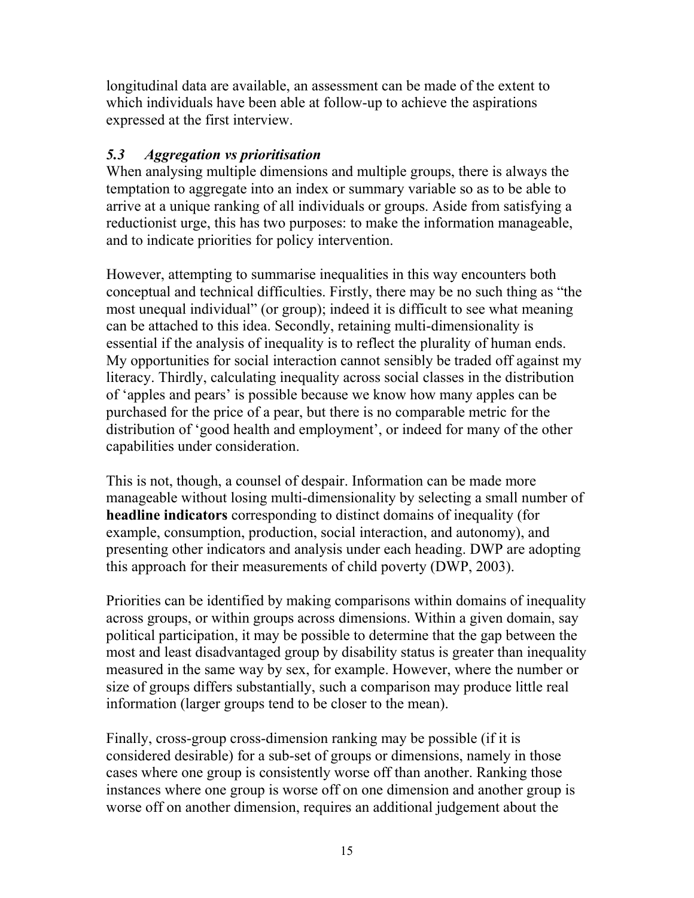longitudinal data are available, an assessment can be made of the extent to which individuals have been able at follow-up to achieve the aspirations expressed at the first interview.

#### *5.3 Aggregation vs prioritisation*

When analysing multiple dimensions and multiple groups, there is always the temptation to aggregate into an index or summary variable so as to be able to arrive at a unique ranking of all individuals or groups. Aside from satisfying a reductionist urge, this has two purposes: to make the information manageable, and to indicate priorities for policy intervention.

However, attempting to summarise inequalities in this way encounters both conceptual and technical difficulties. Firstly, there may be no such thing as "the most unequal individual" (or group); indeed it is difficult to see what meaning can be attached to this idea. Secondly, retaining multi-dimensionality is essential if the analysis of inequality is to reflect the plurality of human ends. My opportunities for social interaction cannot sensibly be traded off against my literacy. Thirdly, calculating inequality across social classes in the distribution of 'apples and pears' is possible because we know how many apples can be purchased for the price of a pear, but there is no comparable metric for the distribution of 'good health and employment', or indeed for many of the other capabilities under consideration.

This is not, though, a counsel of despair. Information can be made more manageable without losing multi-dimensionality by selecting a small number of **headline indicators** corresponding to distinct domains of inequality (for example, consumption, production, social interaction, and autonomy), and presenting other indicators and analysis under each heading. DWP are adopting this approach for their measurements of child poverty (DWP, 2003).

Priorities can be identified by making comparisons within domains of inequality across groups, or within groups across dimensions. Within a given domain, say political participation, it may be possible to determine that the gap between the most and least disadvantaged group by disability status is greater than inequality measured in the same way by sex, for example. However, where the number or size of groups differs substantially, such a comparison may produce little real information (larger groups tend to be closer to the mean).

Finally, cross-group cross-dimension ranking may be possible (if it is considered desirable) for a sub-set of groups or dimensions, namely in those cases where one group is consistently worse off than another. Ranking those instances where one group is worse off on one dimension and another group is worse off on another dimension, requires an additional judgement about the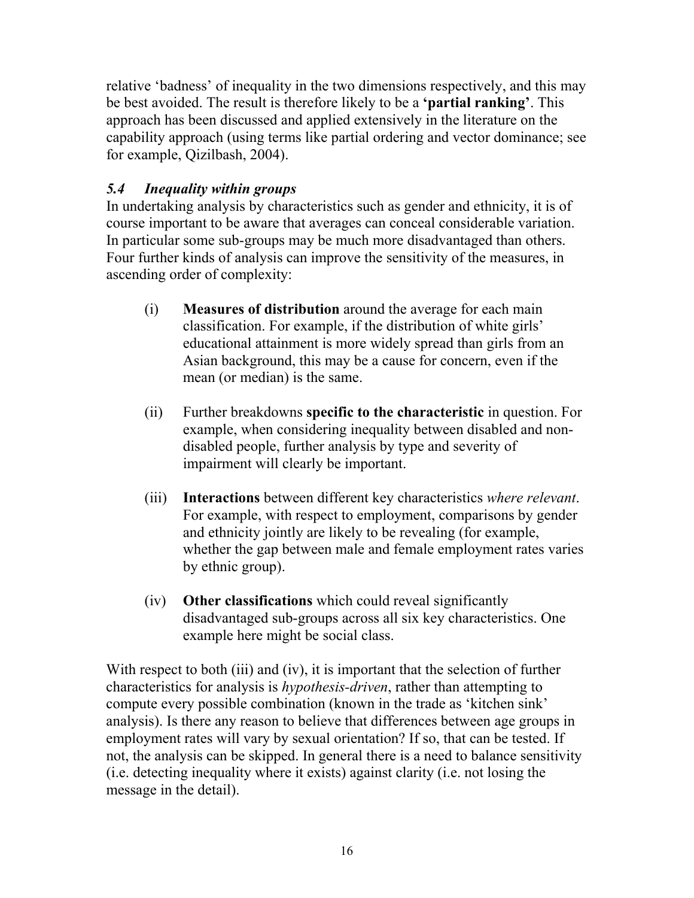relative 'badness' of inequality in the two dimensions respectively, and this may be best avoided. The result is therefore likely to be a **'partial ranking'**. This approach has been discussed and applied extensively in the literature on the capability approach (using terms like partial ordering and vector dominance; see for example, Qizilbash, 2004).

#### *5.4 Inequality within groups*

In undertaking analysis by characteristics such as gender and ethnicity, it is of course important to be aware that averages can conceal considerable variation. In particular some sub-groups may be much more disadvantaged than others. Four further kinds of analysis can improve the sensitivity of the measures, in ascending order of complexity:

- (i) **Measures of distribution** around the average for each main classification. For example, if the distribution of white girls' educational attainment is more widely spread than girls from an Asian background, this may be a cause for concern, even if the mean (or median) is the same.
- (ii) Further breakdowns **specific to the characteristic** in question. For example, when considering inequality between disabled and nondisabled people, further analysis by type and severity of impairment will clearly be important.
- (iii) **Interactions** between different key characteristics *where relevant*. For example, with respect to employment, comparisons by gender and ethnicity jointly are likely to be revealing (for example, whether the gap between male and female employment rates varies by ethnic group).
- (iv) **Other classifications** which could reveal significantly disadvantaged sub-groups across all six key characteristics. One example here might be social class.

With respect to both (iii) and (iv), it is important that the selection of further characteristics for analysis is *hypothesis-driven*, rather than attempting to compute every possible combination (known in the trade as 'kitchen sink' analysis). Is there any reason to believe that differences between age groups in employment rates will vary by sexual orientation? If so, that can be tested. If not, the analysis can be skipped. In general there is a need to balance sensitivity (i.e. detecting inequality where it exists) against clarity (i.e. not losing the message in the detail).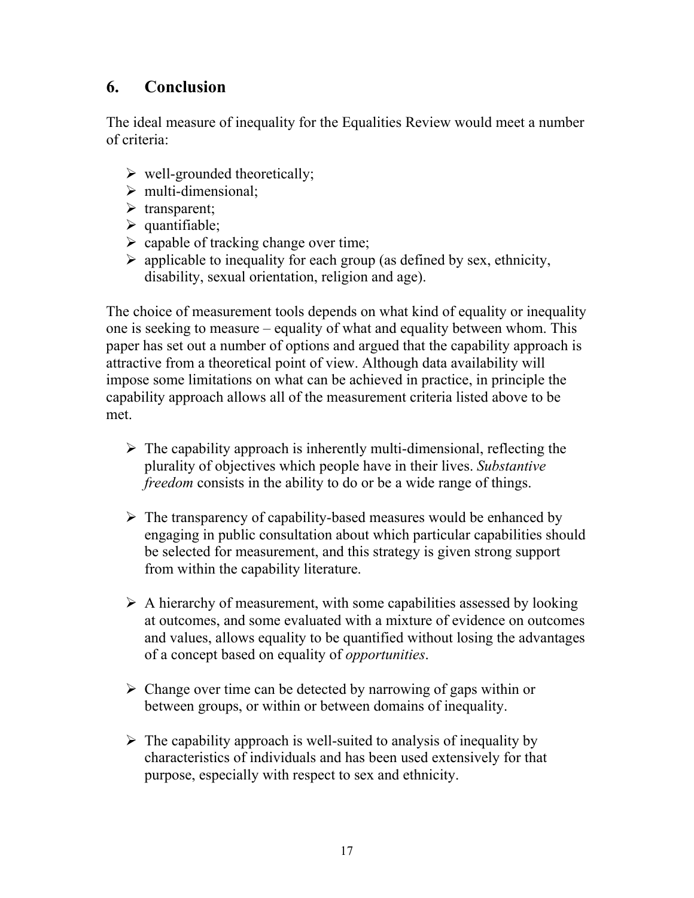## **6. Conclusion**

The ideal measure of inequality for the Equalities Review would meet a number of criteria:

- $\triangleright$  well-grounded theoretically;
- $\triangleright$  multi-dimensional:
- $\triangleright$  transparent;
- $\triangleright$  quantifiable;
- $\triangleright$  capable of tracking change over time;
- $\triangleright$  applicable to inequality for each group (as defined by sex, ethnicity, disability, sexual orientation, religion and age).

The choice of measurement tools depends on what kind of equality or inequality one is seeking to measure – equality of what and equality between whom. This paper has set out a number of options and argued that the capability approach is attractive from a theoretical point of view. Although data availability will impose some limitations on what can be achieved in practice, in principle the capability approach allows all of the measurement criteria listed above to be met.

- $\triangleright$  The capability approach is inherently multi-dimensional, reflecting the plurality of objectives which people have in their lives. *Substantive freedom* consists in the ability to do or be a wide range of things.
- $\triangleright$  The transparency of capability-based measures would be enhanced by engaging in public consultation about which particular capabilities should be selected for measurement, and this strategy is given strong support from within the capability literature.
- $\triangleright$  A hierarchy of measurement, with some capabilities assessed by looking at outcomes, and some evaluated with a mixture of evidence on outcomes and values, allows equality to be quantified without losing the advantages of a concept based on equality of *opportunities*.
- $\triangleright$  Change over time can be detected by narrowing of gaps within or between groups, or within or between domains of inequality.
- $\triangleright$  The capability approach is well-suited to analysis of inequality by characteristics of individuals and has been used extensively for that purpose, especially with respect to sex and ethnicity.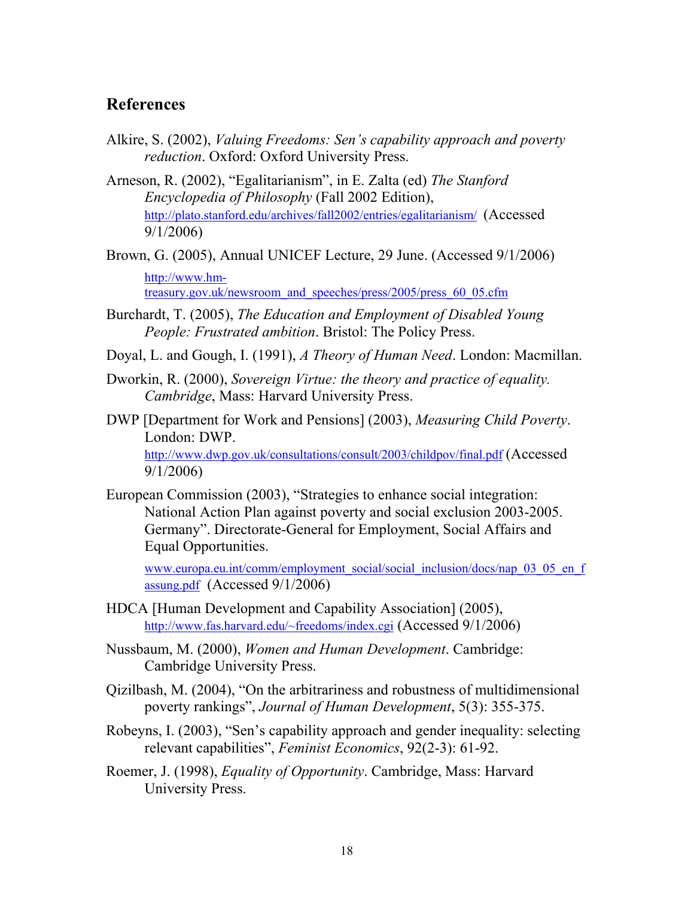#### **References**

Alkire, S. (2002), *Valuing Freedoms: Sen's capability approach and poverty reduction*. Oxford: Oxford University Press.

Arneson, R. (2002), "Egalitarianism", in E. Zalta (ed) *The Stanford Encyclopedia of Philosophy* (Fall 2002 Edition), http://plato.stanford.edu/archives/fall2002/entries/egalitarianism/ (Accessed 9/1/2006)

Brown, G. (2005), Annual UNICEF Lecture, 29 June. (Accessed 9/1/2006) http://www.hmtreasury.gov.uk/newsroom\_and\_speeches/press/2005/press\_60\_05.cfm

Burchardt, T. (2005), *The Education and Employment of Disabled Young People: Frustrated ambition*. Bristol: The Policy Press.

- Doyal, L. and Gough, I. (1991), *A Theory of Human Need*. London: Macmillan.
- Dworkin, R. (2000), *Sovereign Virtue: the theory and practice of equality. Cambridge*, Mass: Harvard University Press.
- DWP [Department for Work and Pensions] (2003), *Measuring Child Poverty*. London: DWP. http://www.dwp.gov.uk/consultations/consult/2003/childpov/final.pdf (Accessed 9/1/2006)
- European Commission (2003), "Strategies to enhance social integration: National Action Plan against poverty and social exclusion 2003-2005. Germany". Directorate-General for Employment, Social Affairs and Equal Opportunities.

www.europa.eu.int/comm/employment\_social/social\_inclusion/docs/nap\_03\_05\_en\_f assung.pdf (Accessed 9/1/2006)

- HDCA [Human Development and Capability Association] (2005), http://www.fas.harvard.edu/~freedoms/index.cgi (Accessed 9/1/2006)
- Nussbaum, M. (2000), *Women and Human Development*. Cambridge: Cambridge University Press.
- Qizilbash, M. (2004), "On the arbitrariness and robustness of multidimensional poverty rankings", *Journal of Human Development*, 5(3): 355-375.
- Robeyns, I. (2003), "Sen's capability approach and gender inequality: selecting relevant capabilities", *Feminist Economics*, 92(2-3): 61-92.
- Roemer, J. (1998), *Equality of Opportunity*. Cambridge, Mass: Harvard University Press.